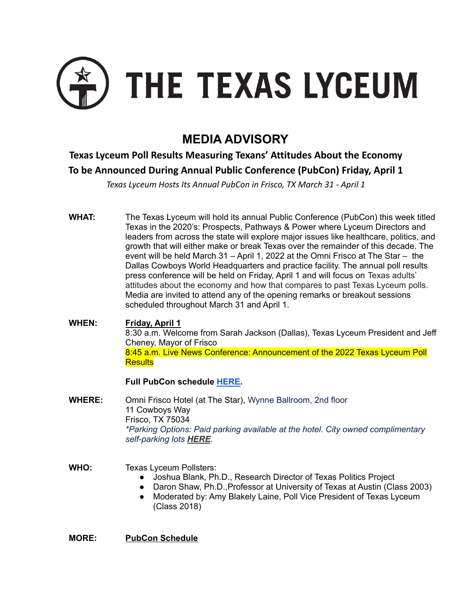

# **MEDIA ADVISORY**

## **Texas Lyceum Poll Results Measuring Texans' Attitudes About the Economy To be Announced During Annual Public Conference (PubCon) Friday, April 1**

*Texas Lyceum Hosts Its Annual PubCon in Frisco, TX March 31 - April 1*

**WHAT:** The Texas Lyceum will hold its annual Public Conference (PubCon) this week titled Texas in the 2020's: Prospects, Pathways & Power where Lyceum Directors and leaders from across the state will explore major issues like healthcare, politics, and growth that will either make or break Texas over the remainder of this decade. The event will be held March 31 – April 1, 2022 at the Omni Frisco at The Star – the Dallas Cowboys World Headquarters and practice facility. The annual poll results press conference will be held on Friday, April 1 and will focus on Texas adults' attitudes about the economy and how that compares to past Texas Lyceum polls. Media are invited to attend any of the opening remarks or breakout sessions scheduled throughout March 31 and April 1.

**WHEN: Friday, April 1** 8:30 a.m. Welcome from Sarah Jackson (Dallas), Texas Lyceum President and Jeff Cheney, Mayor of Frisco 8:45 a.m. Live News Conference: Announcement of the 2022 Texas Lyceum Poll **Results** 

### **Full PubCon schedule [HERE.](https://tel.memberclicks.net/2022_frisco_schedule)**

**WHERE:** Omni Frisco Hotel (at The Star), Wynne Ballroom, 2nd floor 11 Cowboys Way Frisco, TX 75034 *\*Parking Options: Paid parking available at the hotel. City owned complimentary self-parking lots [HERE](http://tel.memberclicks.net/message2/link/b83b187a-fa53-49d4-8159-1f05d424f549/2).*

**WHO:** Texas Lyceum Pollsters:

- Joshua Blank, Ph.D., Research Director of Texas Politics Project
- Daron Shaw, Ph.D., Professor at University of Texas at Austin (Class 2003)
- Moderated by: Amy Blakely Laine, Poll Vice President of Texas Lyceum (Class 2018)

**MORE: PubCon Schedule**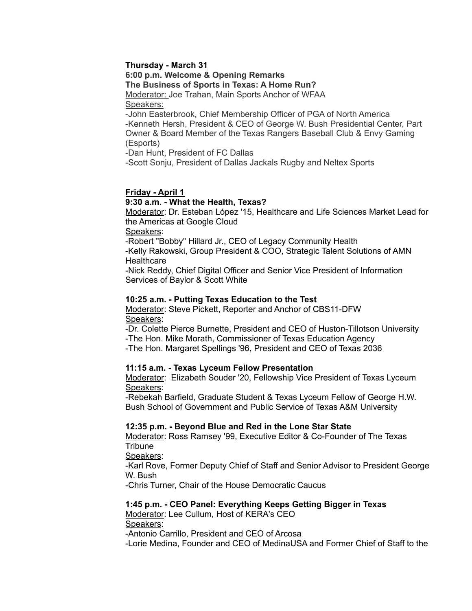#### **Thursday - March 31**

**6:00 p.m. Welcome & Opening Remarks**

#### **The Business of Sports in Texas: A Home Run?**

Moderator: Joe Trahan, Main Sports Anchor of WFAA Speakers:

-John Easterbrook, Chief Membership Officer of PGA of North America -Kenneth Hersh, President & CEO of George W. Bush Presidential Center, Part Owner & Board Member of the Texas Rangers Baseball Club & Envy Gaming (Esports)

-Dan Hunt, President of FC Dallas

-Scott Sonju, President of Dallas Jackals Rugby and Neltex Sports

#### **Friday - April 1**

#### **9:30 a.m. - What the Health, Texas?**

Moderator: Dr. Esteban López '15, Healthcare and Life Sciences Market Lead for the Americas at Google Cloud

Speakers:

-Robert "Bobby" Hillard Jr., CEO of Legacy Community Health

-Kelly Rakowski, Group President & COO, Strategic Talent Solutions of AMN **Healthcare** 

-Nick Reddy, Chief Digital Officer and Senior Vice President of Information Services of Baylor & Scott White

#### **10:25 a.m. - Putting Texas Education to the Test**

Moderator: Steve Pickett, Reporter and Anchor of CBS11-DFW Speakers:

-Dr. Colette Pierce Burnette, President and CEO of Huston-Tillotson University -The Hon. Mike Morath, Commissioner of Texas Education Agency

-The Hon. Margaret Spellings '96, President and CEO of Texas 2036

#### **11:15 a.m. - Texas Lyceum Fellow Presentation**

Moderator: Elizabeth Souder '20, Fellowship Vice President of Texas Lyceum Speakers:

-Rebekah Barfield, Graduate Student & Texas Lyceum Fellow of George H.W. Bush School of Government and Public Service of Texas A&M University

#### **12:35 p.m. - Beyond Blue and Red in the Lone Star State**

Moderator: Ross Ramsey '99, Executive Editor & Co-Founder of The Texas **Tribune** 

Speakers:

-Karl Rove, Former Deputy Chief of Staff and Senior Advisor to President George W. Bush

-Chris Turner, Chair of the House Democratic Caucus

#### **1:45 p.m. - CEO Panel: Everything Keeps Getting Bigger in Texas**

Moderator: Lee Cullum, Host of KERA's CEO Speakers:

-Antonio Carrillo, President and CEO of Arcosa

-Lorie Medina, Founder and CEO of MedinaUSA and Former Chief of Staff to the